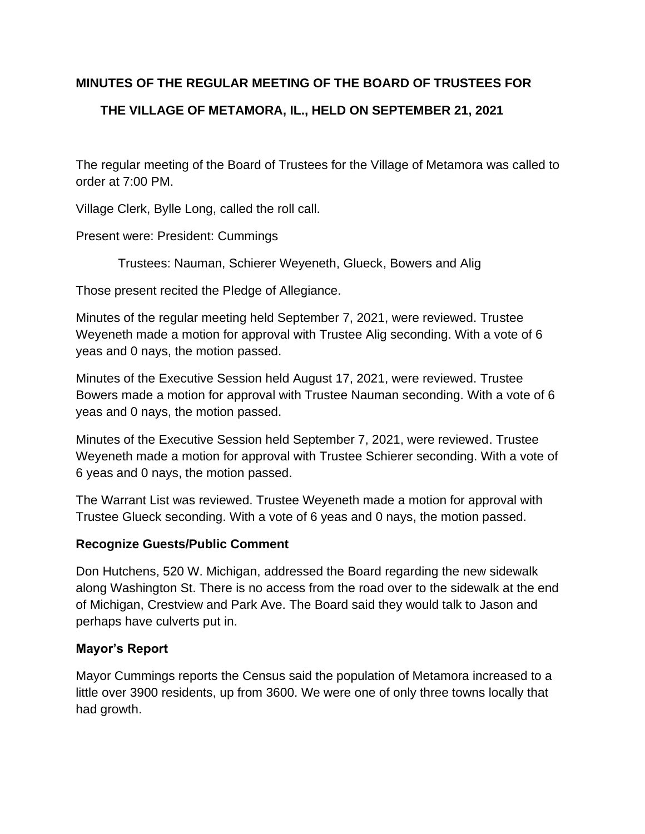# **MINUTES OF THE REGULAR MEETING OF THE BOARD OF TRUSTEES FOR**

# **THE VILLAGE OF METAMORA, IL., HELD ON SEPTEMBER 21, 2021**

The regular meeting of the Board of Trustees for the Village of Metamora was called to order at 7:00 PM.

Village Clerk, Bylle Long, called the roll call.

Present were: President: Cummings

Trustees: Nauman, Schierer Weyeneth, Glueck, Bowers and Alig

Those present recited the Pledge of Allegiance.

Minutes of the regular meeting held September 7, 2021, were reviewed. Trustee Weyeneth made a motion for approval with Trustee Alig seconding. With a vote of 6 yeas and 0 nays, the motion passed.

Minutes of the Executive Session held August 17, 2021, were reviewed. Trustee Bowers made a motion for approval with Trustee Nauman seconding. With a vote of 6 yeas and 0 nays, the motion passed.

Minutes of the Executive Session held September 7, 2021, were reviewed. Trustee Weyeneth made a motion for approval with Trustee Schierer seconding. With a vote of 6 yeas and 0 nays, the motion passed.

The Warrant List was reviewed. Trustee Weyeneth made a motion for approval with Trustee Glueck seconding. With a vote of 6 yeas and 0 nays, the motion passed.

### **Recognize Guests/Public Comment**

Don Hutchens, 520 W. Michigan, addressed the Board regarding the new sidewalk along Washington St. There is no access from the road over to the sidewalk at the end of Michigan, Crestview and Park Ave. The Board said they would talk to Jason and perhaps have culverts put in.

## **Mayor's Report**

Mayor Cummings reports the Census said the population of Metamora increased to a little over 3900 residents, up from 3600. We were one of only three towns locally that had growth.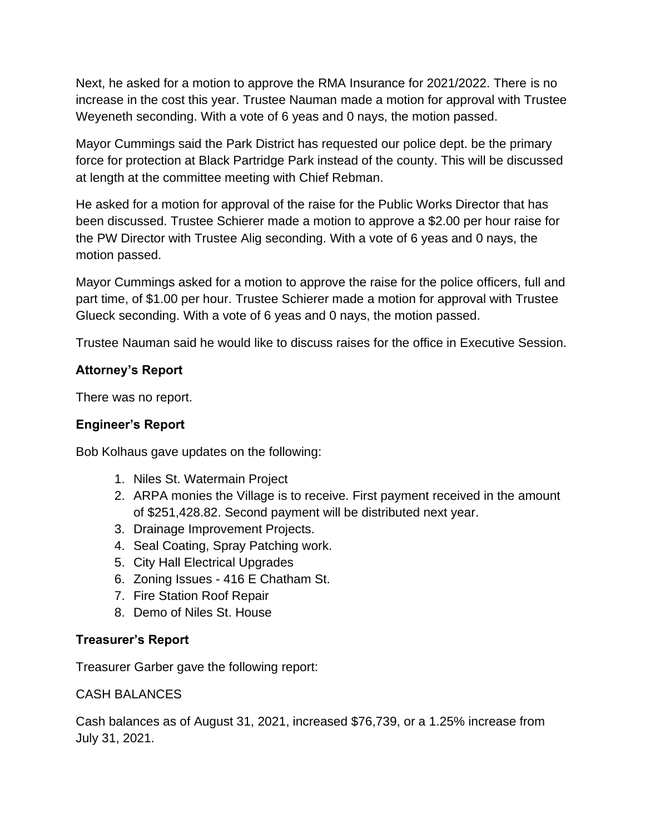Next, he asked for a motion to approve the RMA Insurance for 2021/2022. There is no increase in the cost this year. Trustee Nauman made a motion for approval with Trustee Weyeneth seconding. With a vote of 6 yeas and 0 nays, the motion passed.

Mayor Cummings said the Park District has requested our police dept. be the primary force for protection at Black Partridge Park instead of the county. This will be discussed at length at the committee meeting with Chief Rebman.

He asked for a motion for approval of the raise for the Public Works Director that has been discussed. Trustee Schierer made a motion to approve a \$2.00 per hour raise for the PW Director with Trustee Alig seconding. With a vote of 6 yeas and 0 nays, the motion passed.

Mayor Cummings asked for a motion to approve the raise for the police officers, full and part time, of \$1.00 per hour. Trustee Schierer made a motion for approval with Trustee Glueck seconding. With a vote of 6 yeas and 0 nays, the motion passed.

Trustee Nauman said he would like to discuss raises for the office in Executive Session.

# **Attorney's Report**

There was no report.

# **Engineer's Report**

Bob Kolhaus gave updates on the following:

- 1. Niles St. Watermain Project
- 2. ARPA monies the Village is to receive. First payment received in the amount of \$251,428.82. Second payment will be distributed next year.
- 3. Drainage Improvement Projects.
- 4. Seal Coating, Spray Patching work.
- 5. City Hall Electrical Upgrades
- 6. Zoning Issues 416 E Chatham St.
- 7. Fire Station Roof Repair
- 8. Demo of Niles St. House

### **Treasurer's Report**

Treasurer Garber gave the following report:

### CASH BALANCES

Cash balances as of August 31, 2021, increased \$76,739, or a 1.25% increase from July 31, 2021.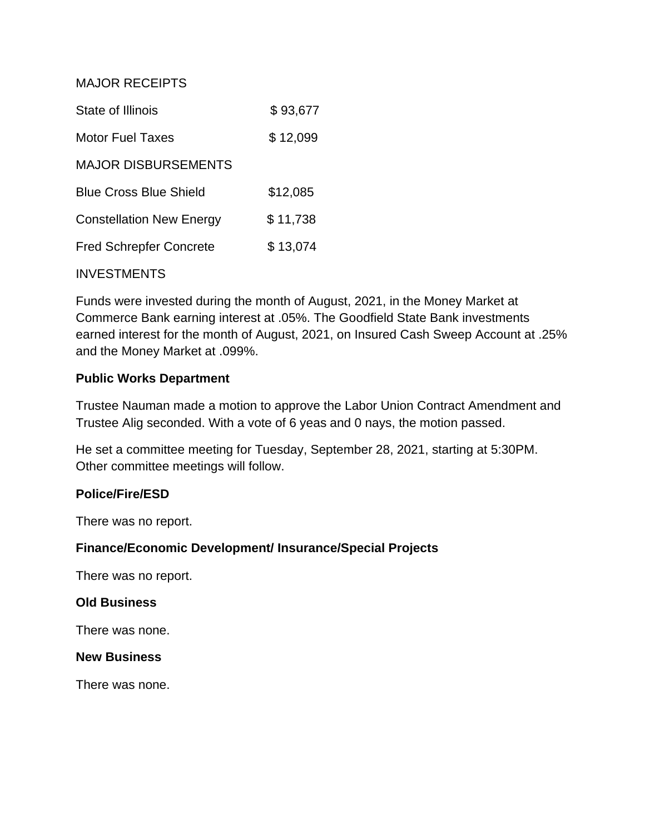MAJOR RECEIPTS

| State of Illinois               | \$93,677 |
|---------------------------------|----------|
| Motor Fuel Taxes                | \$12,099 |
| <b>MAJOR DISBURSEMENTS</b>      |          |
| <b>Blue Cross Blue Shield</b>   | \$12,085 |
| <b>Constellation New Energy</b> | \$11,738 |
| <b>Fred Schrepfer Concrete</b>  | \$13,074 |
|                                 |          |

### INVESTMENTS

Funds were invested during the month of August, 2021, in the Money Market at Commerce Bank earning interest at .05%. The Goodfield State Bank investments earned interest for the month of August, 2021, on Insured Cash Sweep Account at .25% and the Money Market at .099%.

### **Public Works Department**

Trustee Nauman made a motion to approve the Labor Union Contract Amendment and Trustee Alig seconded. With a vote of 6 yeas and 0 nays, the motion passed.

He set a committee meeting for Tuesday, September 28, 2021, starting at 5:30PM. Other committee meetings will follow.

### **Police/Fire/ESD**

There was no report.

### **Finance/Economic Development/ Insurance/Special Projects**

There was no report.

#### **Old Business**

There was none.

#### **New Business**

There was none.